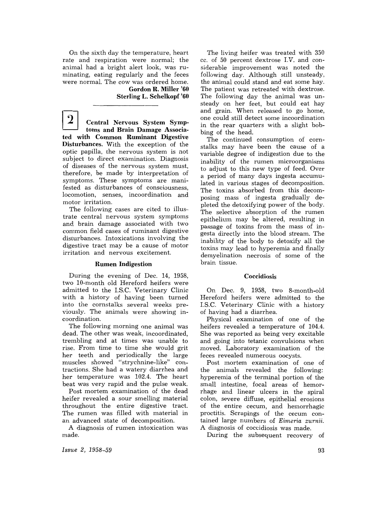On the sixth day the temperature, heart rate and respiration were normal; the animal had a bright alert look, was ruminating, eating regularly and the feces were normal. The cow was ordered home. Gordon R. Miller '60

Sterling L. Schelkopf '60

 $\overline{\mathbf{2}}$ Central Nervous System Symptoms and Brain Damage Associated with Common Ruminant Digestive Disturbances. With the exception of the optic papilla, the nervous system is not subject to direct examination. Diagnosis of diseases of the nervous system must, therefore, be made by interpretation of symptoms. These symptoms are manifested as disturbances of consciousness, locomotion, senses, incoordination and motor irritation.

The following cases are cited to illustrate central nervous system symptoms and brain damage associated with two common field cases of ruminant digestive disturbances. Intoxications involving the digestive tract may be a cause of motor irritation and nervous excitement.

## Rumen Indigestion

During the evening of Dec. 14, 1958, two 10-month old Hereford heifers were admitted to the LS.C. Veterinary Clinic with a history of having been turned into the cornstalks several weeks previously. The animals were showing incoordination.

The following morning one animal was dead. The other was weak, incoordinated, trembling and at times was unable to rise. From time to time she would grit her teeth and periodically the large muscles showed "strychnine-like" contractions. She had a watery diarrhea and her temperature was 102.4. The heart beat was very rapid and the pulse weak.

Post mortem examination of the dead heifer revealed a sour smelling material throughout the entire digestive tract. The rumen was filled with material in an advanced state of decomposition.

A diagnosis of rumen intoxication was made.

The living heifer was treated with 350 cc. of 50 percent dextrose LV. and considerable improvement was noted the following day. Although still unsteady, the animal could stand and eat some hay. The patient was retreated with dextrose. The following day the animal was unsteady on her feet, but could eat hay and grain. When released to go home, one could still detect some incoordination in the rear quarters with a slight bobbing of the head.

The continued consumption of cornstalks may have been the cause of a variable degree of indigestion due to the inability of the rumen microorganisms to adjust to this new type of feed. Over a period of many days ingesta accumulated in various stages of decomposition. The toxins absorbed from this decomposing mass of ingesta gradually depleted the detoxifying power of the body. The selective absorption of the rumen epithelium may be altered, resulting in passage of toxins from the mass of ingesta directly into the blood stream. The inability of the body to detoxify all the toxins may lead to hyperemia and finally demyelination necrosis of some of the brain tissue.

## Coccidiosis

On Dec. 9, 1958, two 8-month-old Hereford heifers were admitted to the LS.C. Veterinary Clinic with a history or having had a diarrhea.

Physical examination of one of the heifers revealed a temperature of 104.4. She was reported as being very excitable and going into tetanic convulsions when moved. Laboratory examination of the feces revealed numerous oocysts.

Post mortem examination of one of the animals revealed the following: hyperemia of the terminal portion of the small intestine, focal areas of hemorrhage and linear ulcers in the spiral colon, severe diffuse, epithelial erosions of the entire cecum, and hemorrhagic proctitis. Scrapings of the cecum contained large numbers of *Eimeria zurnii.*  A diagnosis of coccidiosis was made.

During the subsequent recovery of

*Issue* 2, 1958-59